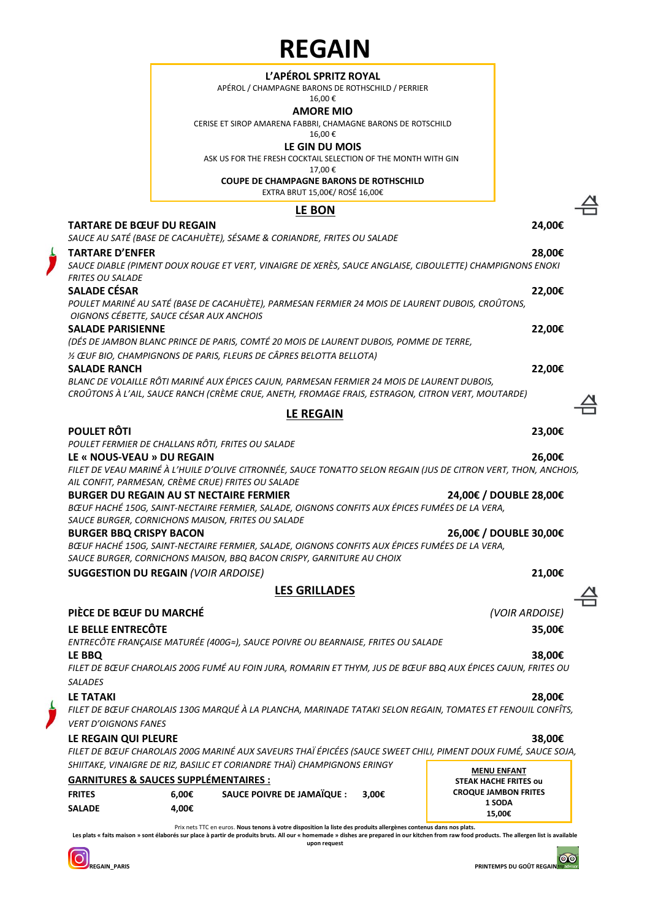### **L'APÉROL SPRITZ ROYAL**

APÉROL / CHAMPAGNE BARONS DE ROTHSCHILD / PERRIER

16,00 €

**AMORE MIO** CERISE ET SIROP AMARENA FABBRI, CHAMAGNE BARONS DE ROTSCHILD

16,00 €

### **LE GIN DU MOIS**

ASK US FOR THE FRESH COCKTAIL SELECTION OF THE MONTH WITH GIN

17,00 €

**COUPE DE CHAMPAGNE BARONS DE ROTHSCHILD**

EXTRA BRUT 15,00€/ ROSÉ 16,00€

## **LE BON**

### **TARTARE DE BŒUF DU REGAIN 24,00€**

*SAUCE AU SATÉ (BASE DE CACAHUÈTE), SÉSAME & CORIANDRE, FRITES OU SALADE* **TARTARE D'ENFER 28,00€**

*SAUCE DIABLE (PIMENT DOUX ROUGE ET VERT, VINAIGRE DE XERÈS, SAUCE ANGLAISE, CIBOULETTE) CHAMPIGNONS ENOKI FRITES OU SALADE* **SALADE CÉSAR 22,00€**

*POULET MARINÉ AU SATÉ (BASE DE CACAHUÈTE), PARMESAN FERMIER 24 MOIS DE LAURENT DUBOIS, CROÛTONS, OIGNONS CÉBETTE, SAUCE CÉSAR AUX ANCHOIS*  **SALADE PARISIENNE 22,00€** *(DÉS DE JAMBON BLANC PRINCE DE PARIS, COMTÉ 20 MOIS DE LAURENT DUBOIS, POMME DE TERRE,*

*½ ŒUF BIO, CHAMPIGNONS DE PARIS, FLEURS DE CÂPRES BELOTTA BELLOTA)*

**SALADE RANCH 22,00€** *BLANC DE VOLAILLE RÔTI MARINÉ AUX ÉPICES CAJUN, PARMESAN FERMIER 24 MOIS DE LAURENT DUBOIS, CROÛTONS À L'AIL, SAUCE RANCH (CRÈME CRUE, ANETH, FROMAGE FRAIS, ESTRAGON, CITRON VERT, MOUTARDE)*

## **LE REGAIN**

## **POULET RÔTI 23,00€**

*POULET FERMIER DE CHALLANS RÔTI, FRITES OU SALADE*

### **LE « NOUS-VEAU » DU REGAIN 26,00€**

*FILET DE VEAU MARINÉ À L'HUILE D'OLIVE CITRONNÉE, SAUCE TONATTO SELON REGAIN (JUS DE CITRON VERT, THON, ANCHOIS, AIL CONFIT, PARMESAN, CRÈME CRUE) FRITES OU SALADE* 

**BURGER DU REGAIN AU ST NECTAIRE FERMIER 24,00€ / DOUBLE 28,00€**

*BŒUF HACHÉ 150G, SAINT-NECTAIRE FERMIER, SALADE, OIGNONS CONFITS AUX ÉPICES FUMÉES DE LA VERA, SAUCE BURGER, CORNICHONS MAISON, FRITES OU SALADE* **BURGER BBQ CRISPY BACON 26,00€ / DOUBLE 30,00€**

*BŒUF HACHÉ 150G, SAINT-NECTAIRE FERMIER, SALADE, OIGNONS CONFITS AUX ÉPICES FUMÉES DE LA VERA, SAUCE BURGER, CORNICHONS MAISON, BBQ BACON CRISPY, GARNITURE AU CHOIX*

**SUGGESTION DU REGAIN** *(VOIR ARDOISE)* **21,00€**

## **LES GRILLADES**

# **PIÈCE DE BŒUF DU MARCHÉ** *(VOIR ARDOISE)*

### **LE BELLE ENTRECÔTE 35,00€**

*ENTRECÔTE FRANÇAISE MATURÉE (400G≈), SAUCE POIVRE OU BEARNAISE, FRITES OU SALADE* **LE BBQ 38,00€**

*FILET DE BŒUF CHAROLAIS 200G FUMÉ AU FOIN JURA, ROMARIN ET THYM, JUS DE BŒUF BBQ AUX ÉPICES CAJUN, FRITES OU SALADES*

**LE TATAKI 28,00€** *FILET DE BŒUF CHAROLAIS 130G MARQUÉ À LA PLANCHA, MARINADE TATAKI SELON REGAIN, TOMATES ET FENOUIL CONFÎTS, VERT D'OIGNONS FANES*

### **LE REGAIN QUI PLEURE 38,00€**

**MENU ENFANT**  *FILET DE BŒUF CHAROLAIS 200G MARINÉ AUX SAVEURS THAÏ ÉPICÉES (SAUCE SWEET CHILI, PIMENT DOUX FUMÉ, SAUCE SOJA, SHIITAKE, VINAIGRE DE RIZ, BASILIC ET CORIANDRE THAÏ) CHAMPIGNONS ERINGY*

| <b>GARNITURES &amp; SAUCES SUPPLÉMENTAIRES :</b> | IVILIVY LIVIAIVI<br><b>STEAK HACHE FRITES OU</b> |                                   |       |                             |
|--------------------------------------------------|--------------------------------------------------|-----------------------------------|-------|-----------------------------|
| <b>FRITES</b>                                    | 6.00€                                            | <b>SAUCE POIVRE DE JAMAÏQUE :</b> | 3.00€ | <b>CROQUE JAMBON FRITES</b> |
| <b>SALADE</b>                                    | 4.00€                                            |                                   |       | 1 SODA<br>15.00€            |

Prix nets TTC en euros. **Nous tenons à votre disposition la liste des produits allergènes contenus dans nos plats. Les plats « faits maison » sont élaborés sur place à partir de produits bruts. All our « homemade » dishes are prepared in our kitchen from raw food products. The allergen list is available** 

**upon request**

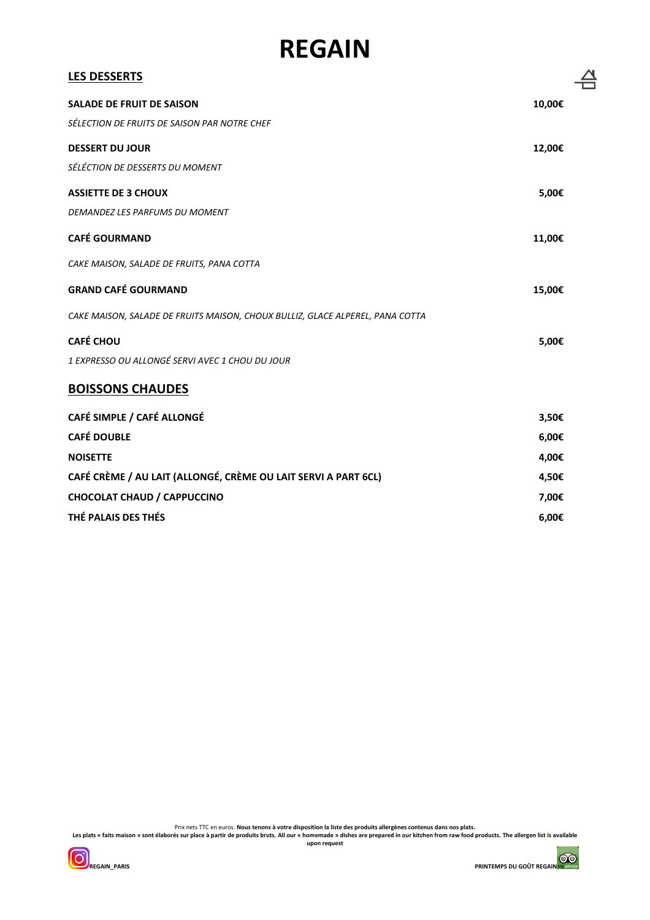| <b>LES DESSERTS</b>                                                           |        |
|-------------------------------------------------------------------------------|--------|
| <b>SALADE DE FRUIT DE SAISON</b>                                              | 10,00€ |
| SÉLECTION DE FRUITS DE SAISON PAR NOTRE CHEF                                  |        |
| <b>DESSERT DU JOUR</b>                                                        | 12,00€ |
| SÉLÉCTION DE DESSERTS DU MOMENT                                               |        |
| <b>ASSIETTE DE 3 CHOUX</b>                                                    | 5,00€  |
| DEMANDEZ LES PARFUMS DU MOMENT                                                |        |
| <b>CAFÉ GOURMAND</b>                                                          | 11,00€ |
| CAKE MAISON, SALADE DE FRUITS, PANA COTTA                                     |        |
| <b>GRAND CAFÉ GOURMAND</b>                                                    | 15,00€ |
| CAKE MAISON, SALADE DE FRUITS MAISON, CHOUX BULLIZ, GLACE ALPEREL, PANA COTTA |        |
| <b>CAFÉ CHOU</b>                                                              | 5,00€  |
| 1 EXPRESSO OU ALLONGÉ SERVI AVEC 1 CHOU DU JOUR                               |        |
| <b>BOISSONS CHAUDES</b>                                                       |        |
| CAFÉ SIMPLE / CAFÉ ALLONGÉ                                                    | 3,50€  |
| <b>CAFÉ DOUBLE</b>                                                            | 6,00€  |
| <b>NOISETTE</b>                                                               | 4,00€  |
| CAFÉ CRÈME / AU LAIT (ALLONGÉ, CRÈME OU LAIT SERVI A PART 6CL)                | 4,50€  |
| <b>CHOCOLAT CHAUD / CAPPUCCINO</b>                                            | 7,00€  |

**THÉ PALAIS DES THÉS 6,00€**

Prix nets TTC en euros. Nous tenons à votre disposition la liste des produits allergènes contenus dans nos plats.<br>Les plats « faits maison » sont élaborés sur place à partir de produits bruts. All our « homemade » dishes a

**upon request**





 $\triangleq$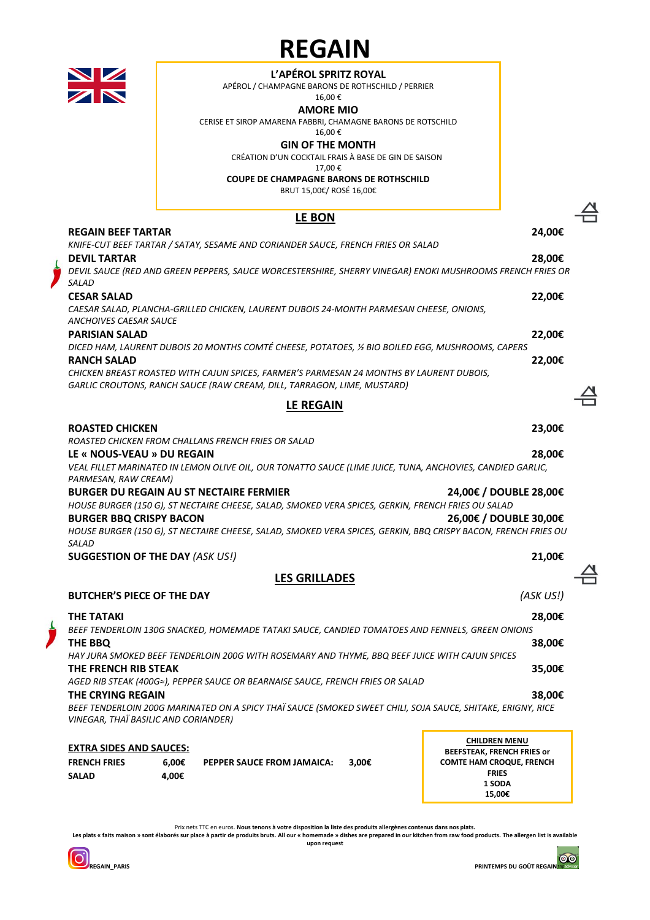### **L'APÉROL SPRITZ ROYAL**

APÉROL / CHAMPAGNE BARONS DE ROTHSCHILD / PERRIER

### 16,00 €

**AMORE MIO** CERISE ET SIROP AMARENA FABBRI, CHAMAGNE BARONS DE ROTSCHILD

16,00 €

### **GIN OF THE MONTH**

CRÉATION D'UN COCKTAIL FRAIS À BASE DE GIN DE SAISON

17,00 €

**COUPE DE CHAMPAGNE BARONS DE ROTHSCHILD**

BRUT 15,00€/ ROSÉ 16,00€

# **LE BON**

### **REGAIN BEEF TARTAR 24,00€** *KNIFE-CUT BEEF TARTAR / SATAY, SESAME AND CORIANDER SAUCE, FRENCH FRIES OR SALAD* **DEVIL TARTAR 28,00€** *DEVIL SAUCE (RED AND GREEN PEPPERS, SAUCE WORCESTERSHIRE, SHERRY VINEGAR) ENOKI MUSHROOMS FRENCH FRIES OR SALAD* **CESAR SALAD 22,00€** *CAESAR SALAD, PLANCHA-GRILLED CHICKEN, LAURENT DUBOIS 24-MONTH PARMESAN CHEESE, ONIONS, ANCHOIVES CAESAR SAUCE* **PARISIAN SALAD 22,00€** *DICED HAM, LAURENT DUBOIS 20 MONTHS COMTÉ CHEESE, POTATOES, ½ BIO BOILED EGG, MUSHROOMS, CAPERS* **RANCH SALAD 22,00€** *CHICKEN BREAST ROASTED WITH CAJUN SPICES, FARMER'S PARMESAN 24 MONTHS BY LAURENT DUBOIS, GARLIC CROUTONS, RANCH SAUCE (RAW CREAM, DILL, TARRAGON, LIME, MUSTARD)* **LE REGAIN ROASTED CHICKEN 23,00€** *ROASTED CHICKEN FROM CHALLANS FRENCH FRIES OR SALAD* **LE « NOUS-VEAU » DU REGAIN 28,00€** *VEAL FILLET MARINATED IN LEMON OLIVE OIL, OUR TONATTO SAUCE (LIME JUICE, TUNA, ANCHOVIES, CANDIED GARLIC, PARMESAN, RAW CREAM)* **BURGER DU REGAIN AU ST NECTAIRE FERMIER 24,00€ / DOUBLE 28,00€** *HOUSE BURGER (150 G), ST NECTAIRE CHEESE, SALAD, SMOKED VERA SPICES, GERKIN, FRENCH FRIES OU SALAD* **BURGER BBQ CRISPY BACON 26,00€ / DOUBLE 30,00€** *HOUSE BURGER (150 G), ST NECTAIRE CHEESE, SALAD, SMOKED VERA SPICES, GERKIN, BBQ CRISPY BACON, FRENCH FRIES OU SALAD* **SUGGESTION OF THE DAY** *(ASK US!)* **21,00€ LES GRILLADES BUTCHER'S PIECE OF THE DAY** *(ASK US!)* **THE TATAKI 28,00€** *BEEF TENDERLOIN 130G SNACKED, HOMEMADE TATAKI SAUCE, CANDIED TOMATOES AND FENNELS, GREEN ONIONS*  **THE BBQ 38,00€** *HAY JURA SMOKED BEEF TENDERLOIN 200G WITH ROSEMARY AND THYME, BBQ BEEF JUICE WITH CAJUN SPICES* **THE FRENCH RIB STEAK 35,00€** *AGED RIB STEAK (400G≈), PEPPER SAUCE OR BEARNAISE SAUCE, FRENCH FRIES OR SALAD* **THE CRYING REGAIN 38,00€** *BEEF TENDERLOIN 200G MARINATED ON A SPICY THAÏ SAUCE (SMOKED SWEET CHILI, SOJA SAUCE, SHITAKE, ERIGNY, RICE VINEGAR, THAÏ BASILIC AND CORIANDER)* **EXTRA SIDES AND SAUCES:**

| EATINA SIDES AND SAULES. |       |                                   |       |
|--------------------------|-------|-----------------------------------|-------|
| <b>FRENCH FRIES</b>      | 6.00€ | <b>PEPPER SAUCE FROM JAMAICA:</b> | 3.00€ |
| SALAD                    | 4.00€ |                                   |       |

**CHILDREN MENU BEEFSTEAK, FRENCH FRIES or COMTE HAM CROQUE, FRENCH FRIES 1 SODA 15,00€** 

Prix nets TTC en euros. **Nous tenons à votre disposition la liste des produits allergènes contenus dans nos plats.** Les plats « faits maison » sont élaborés sur place à partir de produits bruts. All our « homemade » dishes are prepared in our kitchen from raw food products. The allergen list is available

**upon request**